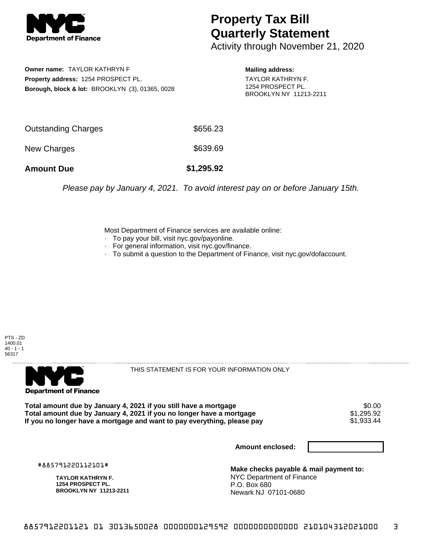

## **Property Tax Bill Quarterly Statement**

Activity through November 21, 2020

**Owner name:** TAYLOR KATHRYN F **Property address:** 1254 PROSPECT PL. **Borough, block & lot:** BROOKLYN (3), 01365, 0028

**Mailing address:** TAYLOR KATHRYN F. 1254 PROSPECT PL. BROOKLYN NY 11213-2211

| <b>Amount Due</b>   | \$1,295.92 |
|---------------------|------------|
| New Charges         | \$639.69   |
| Outstanding Charges | \$656.23   |

Please pay by January 4, 2021. To avoid interest pay on or before January 15th.

Most Department of Finance services are available online:

- · To pay your bill, visit nyc.gov/payonline.
- For general information, visit nyc.gov/finance.
- · To submit a question to the Department of Finance, visit nyc.gov/dofaccount.





THIS STATEMENT IS FOR YOUR INFORMATION ONLY

Total amount due by January 4, 2021 if you still have a mortgage \$0.00<br>Total amount due by January 4, 2021 if you no longer have a mortgage \$1.295.92 **Total amount due by January 4, 2021 if you no longer have a mortgage**  $$1,295.92$$ **<br>If you no longer have a mortgage and want to pay everything, please pay**  $$1,933.44$$ If you no longer have a mortgage and want to pay everything, please pay

**Amount enclosed:**

#885791220112101#

**TAYLOR KATHRYN F. 1254 PROSPECT PL. BROOKLYN NY 11213-2211**

**Make checks payable & mail payment to:** NYC Department of Finance P.O. Box 680 Newark NJ 07101-0680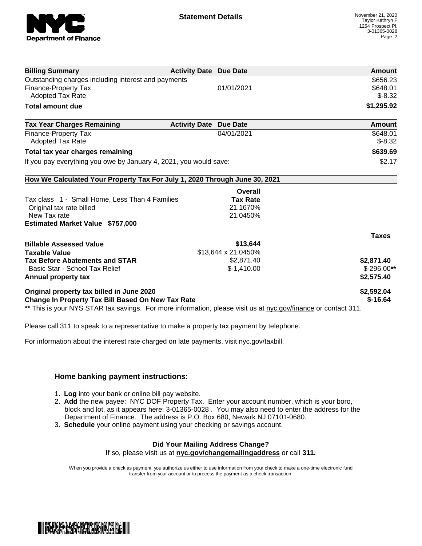

| <b>Billing Summary</b>                                                                                         | <b>Activity Date Due Date</b> |                     | Amount       |
|----------------------------------------------------------------------------------------------------------------|-------------------------------|---------------------|--------------|
| Outstanding charges including interest and payments                                                            |                               |                     | \$656.23     |
| <b>Finance-Property Tax</b>                                                                                    |                               | 01/01/2021          | \$648.01     |
| <b>Adopted Tax Rate</b>                                                                                        |                               |                     | $$-8.32$     |
| <b>Total amount due</b>                                                                                        |                               |                     | \$1,295.92   |
| <b>Tax Year Charges Remaining</b>                                                                              | <b>Activity Date</b>          | <b>Due Date</b>     | Amount       |
| <b>Finance-Property Tax</b>                                                                                    |                               | 04/01/2021          | \$648.01     |
| <b>Adopted Tax Rate</b>                                                                                        |                               |                     | $$-8.32$     |
| Total tax year charges remaining                                                                               |                               |                     | \$639.69     |
| If you pay everything you owe by January 4, 2021, you would save:                                              |                               |                     | \$2.17       |
| How We Calculated Your Property Tax For July 1, 2020 Through June 30, 2021                                     |                               |                     |              |
|                                                                                                                |                               | <b>Overall</b>      |              |
| Tax class 1 - Small Home, Less Than 4 Families                                                                 |                               | <b>Tax Rate</b>     |              |
| Original tax rate billed                                                                                       |                               | 21.1670%            |              |
| New Tax rate                                                                                                   |                               | 21.0450%            |              |
| <b>Estimated Market Value \$757,000</b>                                                                        |                               |                     |              |
|                                                                                                                |                               |                     | <b>Taxes</b> |
| <b>Billable Assessed Value</b>                                                                                 |                               | \$13,644            |              |
| <b>Taxable Value</b>                                                                                           |                               | \$13,644 x 21.0450% |              |
| <b>Tax Before Abatements and STAR</b>                                                                          |                               | \$2,871.40          | \$2,871.40   |
| Basic Star - School Tax Relief                                                                                 |                               | $$-1,410.00$        | $$-296.00**$ |
| Annual property tax                                                                                            |                               |                     | \$2,575.40   |
| Original property tax billed in June 2020                                                                      |                               |                     | \$2,592.04   |
| <b>Change In Property Tax Bill Based On New Tax Rate</b>                                                       |                               |                     | $$-16.64$    |
| ** This is your NYS STAR tax savings. For more information, please visit us at nyc.gov/finance or contact 311. |                               |                     |              |

Please call 311 to speak to a representative to make a property tax payment by telephone.

For information about the interest rate charged on late payments, visit nyc.gov/taxbill.

## **Home banking payment instructions:**

- 1. **Log** into your bank or online bill pay website.
- 2. **Add** the new payee: NYC DOF Property Tax. Enter your account number, which is your boro, block and lot, as it appears here: 3-01365-0028 . You may also need to enter the address for the Department of Finance. The address is P.O. Box 680, Newark NJ 07101-0680.
- 3. **Schedule** your online payment using your checking or savings account.

## **Did Your Mailing Address Change?**

If so, please visit us at **nyc.gov/changemailingaddress** or call **311.**

When you provide a check as payment, you authorize us either to use information from your check to make a one-time electronic fund transfer from your account or to process the payment as a check transaction.